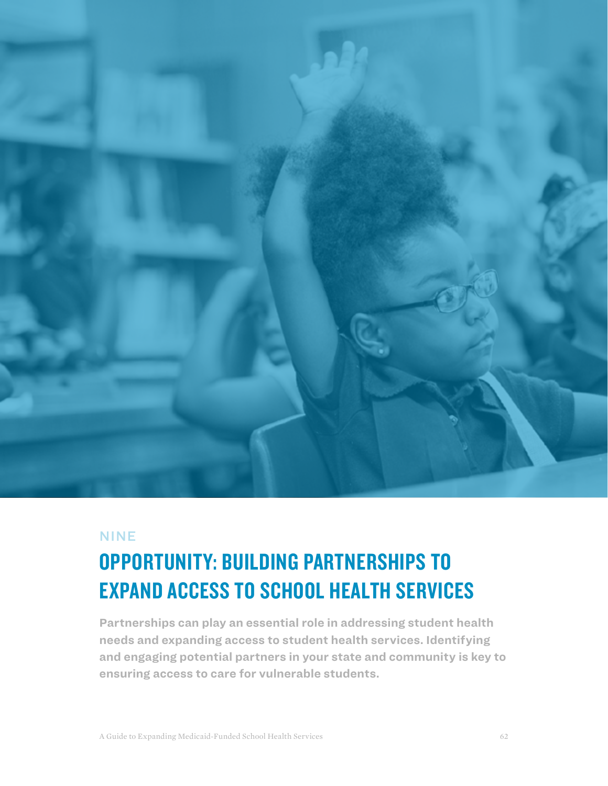

## NINE

# OPPORTUNITY: BUILDING PARTNERSHIPS TO EXPAND ACCESS TO SCHOOL HEALTH SERVICES

**Partnerships can play an essential role in addressing student health needs and expanding access to student health services. Identifying and engaging potential partners in your state and community is key to ensuring access to care for vulnerable students.**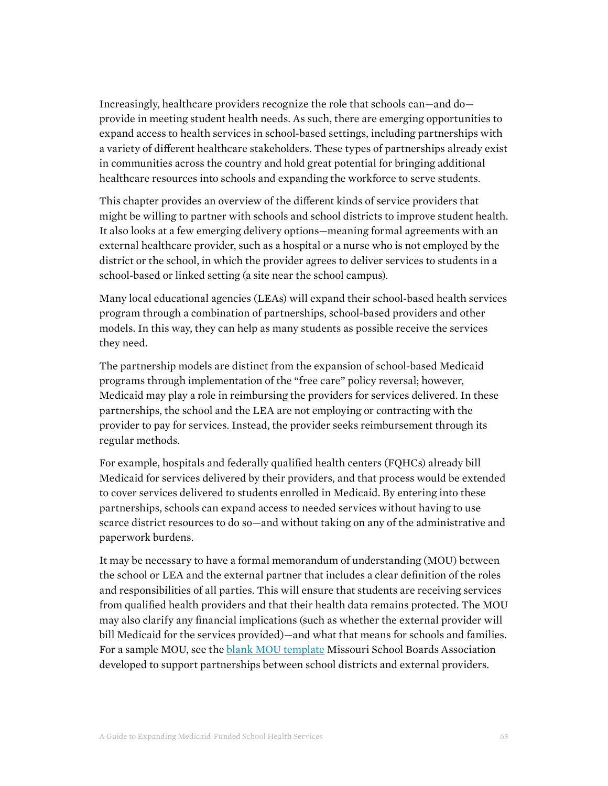Increasingly, healthcare providers recognize the role that schools can—and do provide in meeting student health needs. As such, there are emerging opportunities to expand access to health services in school-based settings, including partnerships with a variety of different healthcare stakeholders. These types of partnerships already exist in communities across the country and hold great potential for bringing additional healthcare resources into schools and expanding the workforce to serve students.

This chapter provides an overview of the different kinds of service providers that might be willing to partner with schools and school districts to improve student health. It also looks at a few emerging delivery options—meaning formal agreements with an external healthcare provider, such as a hospital or a nurse who is not employed by the district or the school, in which the provider agrees to deliver services to students in a school-based or linked setting (a site near the school campus).

Many local educational agencies (LEAs) will expand their school-based health services program through a combination of partnerships, school-based providers and other models. In this way, they can help as many students as possible receive the services they need.

The partnership models are distinct from the expansion of school-based Medicaid programs through implementation of the "free care" policy reversal; however, Medicaid may play a role in reimbursing the providers for services delivered. In these partnerships, the school and the LEA are not employing or contracting with the provider to pay for services. Instead, the provider seeks reimbursement through its regular methods.

For example, hospitals and federally qualified health centers (FQHCs) already bill Medicaid for services delivered by their providers, and that process would be extended to cover services delivered to students enrolled in Medicaid. By entering into these partnerships, schools can expand access to needed services without having to use scarce district resources to do so—and without taking on any of the administrative and paperwork burdens.

It may be necessary to have a formal memorandum of understanding (MOU) between the school or LEA and the external partner that includes a clear definition of the roles and responsibilities of all parties. This will ensure that students are receiving services from qualified health providers and that their health data remains protected. The MOU may also clarify any financial implications (such as whether the external provider will bill Medicaid for the services provided)—and what that means for schools and families. For a sample MOU, see the **blank MOU** template Missouri School Boards Association developed to support partnerships between school districts and external providers.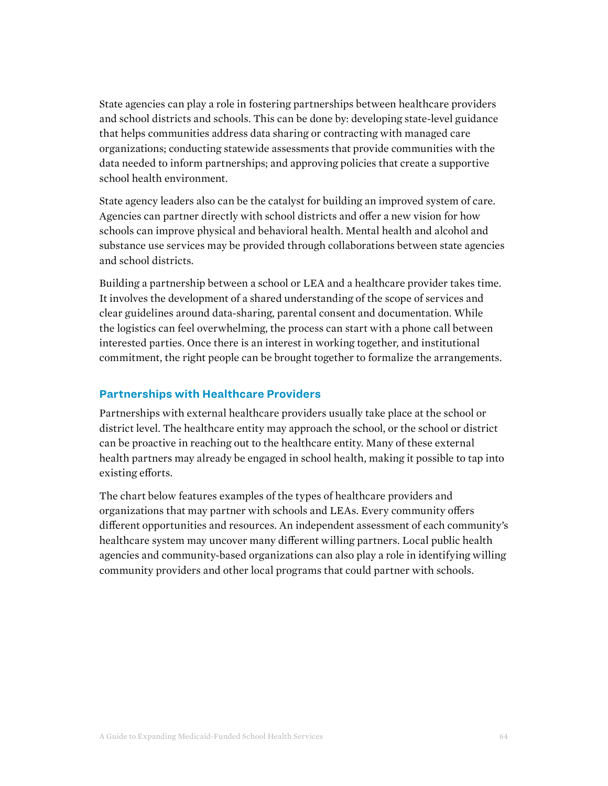State agencies can play a role in fostering partnerships between healthcare providers and school districts and schools. This can be done by: developing state-level guidance that helps communities address data sharing or contracting with managed care organizations; conducting statewide assessments that provide communities with the data needed to inform partnerships; and approving policies that create a supportive school health environment.

State agency leaders also can be the catalyst for building an improved system of care. Agencies can partner directly with school districts and offer a new vision for how schools can improve physical and behavioral health. Mental health and alcohol and substance use services may be provided through collaborations between state agencies and school districts.

Building a partnership between a school or LEA and a healthcare provider takes time. It involves the development of a shared understanding of the scope of services and clear guidelines around data-sharing, parental consent and documentation. While the logistics can feel overwhelming, the process can start with a phone call between interested parties. Once there is an interest in working together, and institutional commitment, the right people can be brought together to formalize the arrangements.

#### **Partnerships with Healthcare Providers**

Partnerships with external healthcare providers usually take place at the school or district level. The healthcare entity may approach the school, or the school or district can be proactive in reaching out to the healthcare entity. Many of these external health partners may already be engaged in school health, making it possible to tap into existing efforts.

The chart below features examples of the types of healthcare providers and organizations that may partner with schools and LEAs. Every community offers different opportunities and resources. An independent assessment of each community's healthcare system may uncover many different willing partners. Local public health agencies and community-based organizations can also play a role in identifying willing community providers and other local programs that could partner with schools.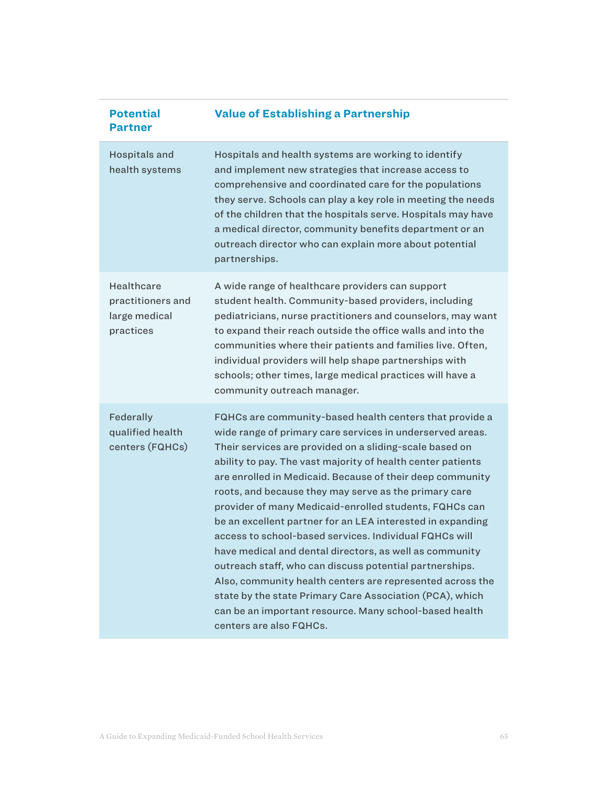| <b>Potential</b><br><b>Partner</b>                            | <b>Value of Establishing a Partnership</b>                                                                                                                                                                                                                                                                                                                                                                                                                                                                                                                                                                                                                                                                                                                                                                                                                                                 |
|---------------------------------------------------------------|--------------------------------------------------------------------------------------------------------------------------------------------------------------------------------------------------------------------------------------------------------------------------------------------------------------------------------------------------------------------------------------------------------------------------------------------------------------------------------------------------------------------------------------------------------------------------------------------------------------------------------------------------------------------------------------------------------------------------------------------------------------------------------------------------------------------------------------------------------------------------------------------|
| Hospitals and<br>health systems                               | Hospitals and health systems are working to identify<br>and implement new strategies that increase access to<br>comprehensive and coordinated care for the populations<br>they serve. Schools can play a key role in meeting the needs<br>of the children that the hospitals serve. Hospitals may have<br>a medical director, community benefits department or an<br>outreach director who can explain more about potential<br>partnerships.                                                                                                                                                                                                                                                                                                                                                                                                                                               |
| Healthcare<br>practitioners and<br>large medical<br>practices | A wide range of healthcare providers can support<br>student health. Community-based providers, including<br>pediatricians, nurse practitioners and counselors, may want<br>to expand their reach outside the office walls and into the<br>communities where their patients and families live. Often,<br>individual providers will help shape partnerships with<br>schools; other times, large medical practices will have a<br>community outreach manager.                                                                                                                                                                                                                                                                                                                                                                                                                                 |
| Federally<br>qualified health<br>centers (FQHCs)              | FQHCs are community-based health centers that provide a<br>wide range of primary care services in underserved areas.<br>Their services are provided on a sliding-scale based on<br>ability to pay. The vast majority of health center patients<br>are enrolled in Medicaid. Because of their deep community<br>roots, and because they may serve as the primary care<br>provider of many Medicaid-enrolled students, FQHCs can<br>be an excellent partner for an LEA interested in expanding<br>access to school-based services. Individual FQHCs will<br>have medical and dental directors, as well as community<br>outreach staff, who can discuss potential partnerships.<br>Also, community health centers are represented across the<br>state by the state Primary Care Association (PCA), which<br>can be an important resource. Many school-based health<br>centers are also FQHCs. |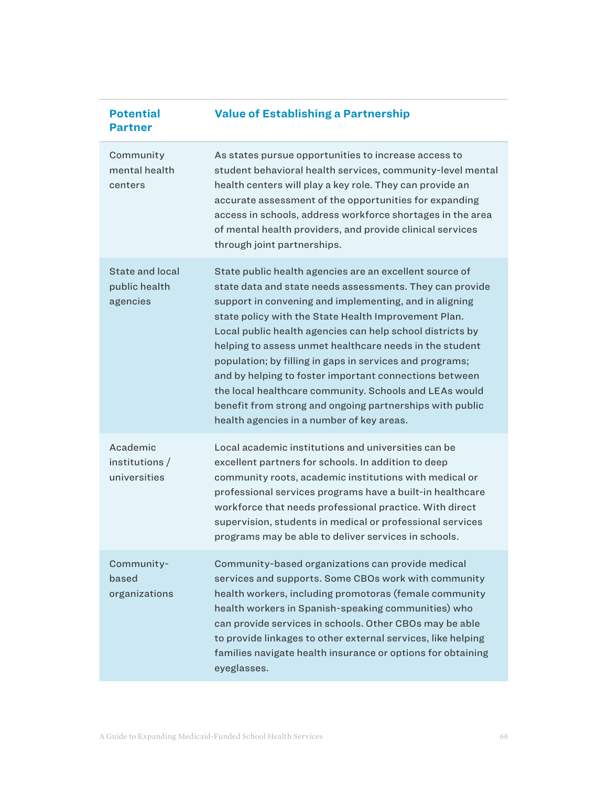| <b>Potential</b><br><b>Partner</b>                  | <b>Value of Establishing a Partnership</b>                                                                                                                                                                                                                                                                                                                                                                                                                                                                                                                                                                                                             |
|-----------------------------------------------------|--------------------------------------------------------------------------------------------------------------------------------------------------------------------------------------------------------------------------------------------------------------------------------------------------------------------------------------------------------------------------------------------------------------------------------------------------------------------------------------------------------------------------------------------------------------------------------------------------------------------------------------------------------|
| Community<br>mental health<br>centers               | As states pursue opportunities to increase access to<br>student behavioral health services, community-level mental<br>health centers will play a key role. They can provide an<br>accurate assessment of the opportunities for expanding<br>access in schools, address workforce shortages in the area<br>of mental health providers, and provide clinical services<br>through joint partnerships.                                                                                                                                                                                                                                                     |
| <b>State and local</b><br>public health<br>agencies | State public health agencies are an excellent source of<br>state data and state needs assessments. They can provide<br>support in convening and implementing, and in aligning<br>state policy with the State Health Improvement Plan.<br>Local public health agencies can help school districts by<br>helping to assess unmet healthcare needs in the student<br>population; by filling in gaps in services and programs;<br>and by helping to foster important connections between<br>the local healthcare community. Schools and LEAs would<br>benefit from strong and ongoing partnerships with public<br>health agencies in a number of key areas. |
| Academic<br>institutions /<br>universities          | Local academic institutions and universities can be<br>excellent partners for schools. In addition to deep<br>community roots, academic institutions with medical or<br>professional services programs have a built-in healthcare<br>workforce that needs professional practice. With direct<br>supervision, students in medical or professional services<br>programs may be able to deliver services in schools.                                                                                                                                                                                                                                      |
| Community-<br>based<br>organizations                | Community-based organizations can provide medical<br>services and supports. Some CBOs work with community<br>health workers, including promotoras (female community<br>health workers in Spanish-speaking communities) who<br>can provide services in schools. Other CBOs may be able<br>to provide linkages to other external services, like helping<br>families navigate health insurance or options for obtaining<br>eyeglasses.                                                                                                                                                                                                                    |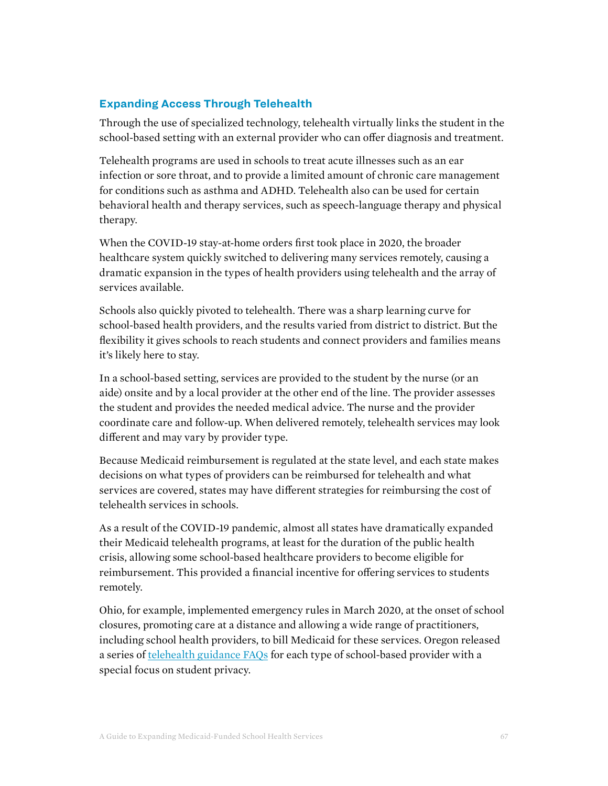#### **Expanding Access Through Telehealth**

Through the use of specialized technology, telehealth virtually links the student in the school-based setting with an external provider who can offer diagnosis and treatment.

Telehealth programs are used in schools to treat acute illnesses such as an ear infection or sore throat, and to provide a limited amount of chronic care management for conditions such as asthma and ADHD. Telehealth also can be used for certain behavioral health and therapy services, such as speech-language therapy and physical therapy.

When the COVID-19 stay-at-home orders first took place in 2020, the broader healthcare system quickly switched to delivering many services remotely, causing a dramatic expansion in the types of health providers using telehealth and the array of services available.

Schools also quickly pivoted to telehealth. There was a sharp learning curve for school-based health providers, and the results varied from district to district. But the flexibility it gives schools to reach students and connect providers and families means it's likely here to stay.

In a school-based setting, services are provided to the student by the nurse (or an aide) onsite and by a local provider at the other end of the line. The provider assesses the student and provides the needed medical advice. The nurse and the provider coordinate care and follow-up. When delivered remotely, telehealth services may look different and may vary by provider type.

Because Medicaid reimbursement is regulated at the state level, and each state makes decisions on what types of providers can be reimbursed for telehealth and what services are covered, states may have different strategies for reimbursing the cost of telehealth services in schools.

As a result of the COVID-19 pandemic, almost all states have dramatically expanded their Medicaid telehealth programs, at least for the duration of the public health crisis, allowing some school-based healthcare providers to become eligible for reimbursement. This provided a financial incentive for offering services to students remotely.

Ohio, for example, implemented emergency rules in March 2020, at the onset of school closures, promoting care at a distance and allowing a wide range of practitioners, including school health providers, to bill Medicaid for these services. Oregon released a series of [telehealth guidance FAQs](https://www.oregon.gov/ode/students-and-family/SpecialEducation/Pages/covid19forspecialeducation.aspx) for each type of school-based provider with a special focus on student privacy.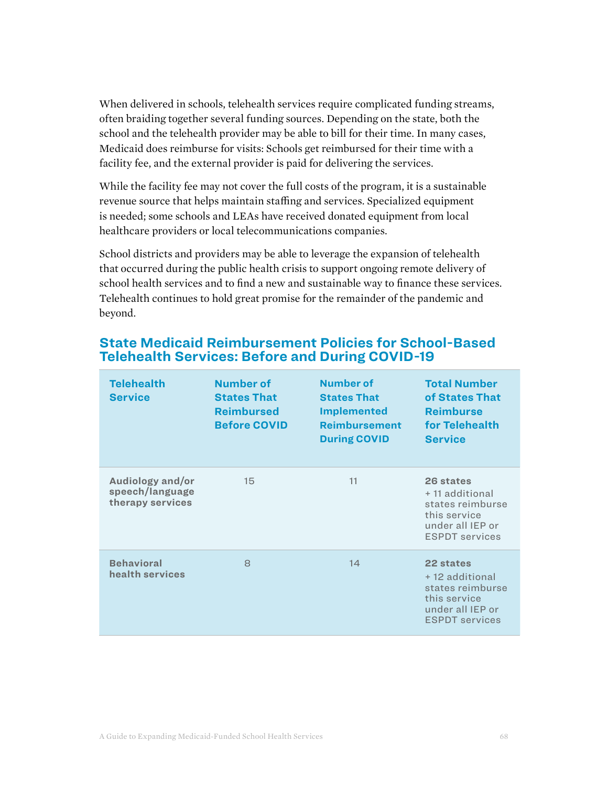When delivered in schools, telehealth services require complicated funding streams, often braiding together several funding sources. Depending on the state, both the school and the telehealth provider may be able to bill for their time. In many cases, Medicaid does reimburse for visits: Schools get reimbursed for their time with a facility fee, and the external provider is paid for delivering the services.

While the facility fee may not cover the full costs of the program, it is a sustainable revenue source that helps maintain staffing and services. Specialized equipment is needed; some schools and LEAs have received donated equipment from local healthcare providers or local telecommunications companies.

School districts and providers may be able to leverage the expansion of telehealth that occurred during the public health crisis to support ongoing remote delivery of school health services and to find a new and sustainable way to finance these services. Telehealth continues to hold great promise for the remainder of the pandemic and beyond.

### **State Medicaid Reimbursement Policies for School-Based Telehealth Services: Before and During COVID-19**

| <b>Telehealth</b><br><b>Service</b>                     | Number of<br><b>States That</b><br><b>Reimbursed</b><br><b>Before COVID</b> | Number of<br><b>States That</b><br><b>Implemented</b><br><b>Reimbursement</b><br><b>During COVID</b> | <b>Total Number</b><br>of States That<br><b>Reimburse</b><br>for Telehealth<br><b>Service</b>                 |
|---------------------------------------------------------|-----------------------------------------------------------------------------|------------------------------------------------------------------------------------------------------|---------------------------------------------------------------------------------------------------------------|
| Audiology and/or<br>speech/language<br>therapy services | 15                                                                          | 11                                                                                                   | 26 states<br>+ 11 additional<br>states reimburse<br>this service<br>under all IEP or<br><b>ESPDT</b> services |
| <b>Behavioral</b><br>health services                    | 8                                                                           | 14                                                                                                   | 22 states<br>+12 additional<br>states reimburse<br>this service<br>under all IEP or<br><b>ESPDT</b> services  |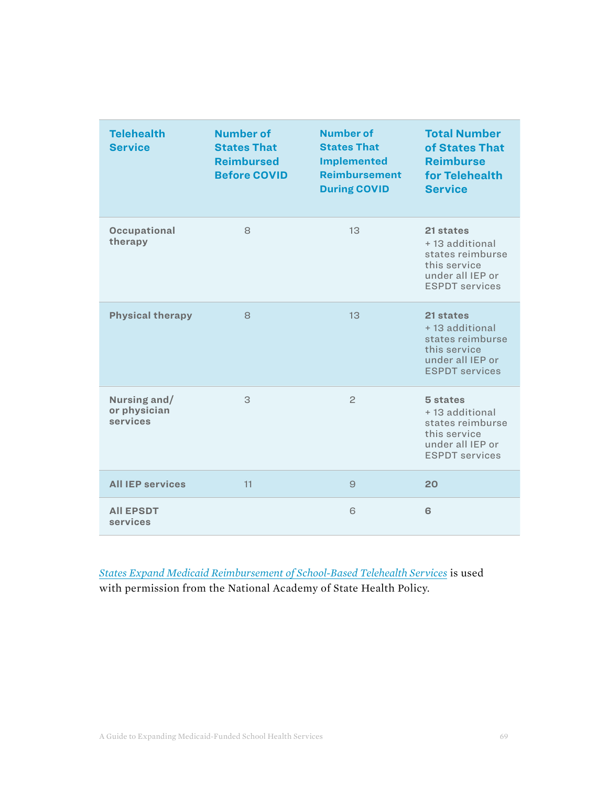| <b>Telehealth</b><br><b>Service</b>      | <b>Number of</b><br><b>States That</b><br><b>Reimbursed</b><br><b>Before COVID</b> | Number of<br><b>States That</b><br><b>Implemented</b><br><b>Reimbursement</b><br><b>During COVID</b> | <b>Total Number</b><br>of States That<br><b>Reimburse</b><br>for Telehealth<br><b>Service</b>                |
|------------------------------------------|------------------------------------------------------------------------------------|------------------------------------------------------------------------------------------------------|--------------------------------------------------------------------------------------------------------------|
| <b>Occupational</b><br>therapy           | 8                                                                                  | 13                                                                                                   | 21 states<br>+13 additional<br>states reimburse<br>this service<br>under all IEP or<br><b>ESPDT</b> services |
| <b>Physical therapy</b>                  | 8                                                                                  | 13                                                                                                   | 21 states<br>+13 additional<br>states reimburse<br>this service<br>under all IEP or<br><b>ESPDT</b> services |
| Nursing and/<br>or physician<br>services | 3                                                                                  | $\overline{c}$                                                                                       | 5 states<br>+13 additional<br>states reimburse<br>this service<br>under all IEP or<br><b>ESPDT</b> services  |
| <b>All IEP services</b>                  | 11                                                                                 | 9                                                                                                    | 20                                                                                                           |
| <b>All EPSDT</b><br>services             |                                                                                    | 6                                                                                                    | 6                                                                                                            |

*[States Expand Medicaid Reimbursement of School-Based Telehealth Services](https://www.nashp.org/states-expand-medicaid-reimbursement-of-school-based-telehealth-services)* is used with permission from the National Academy of State Health Policy.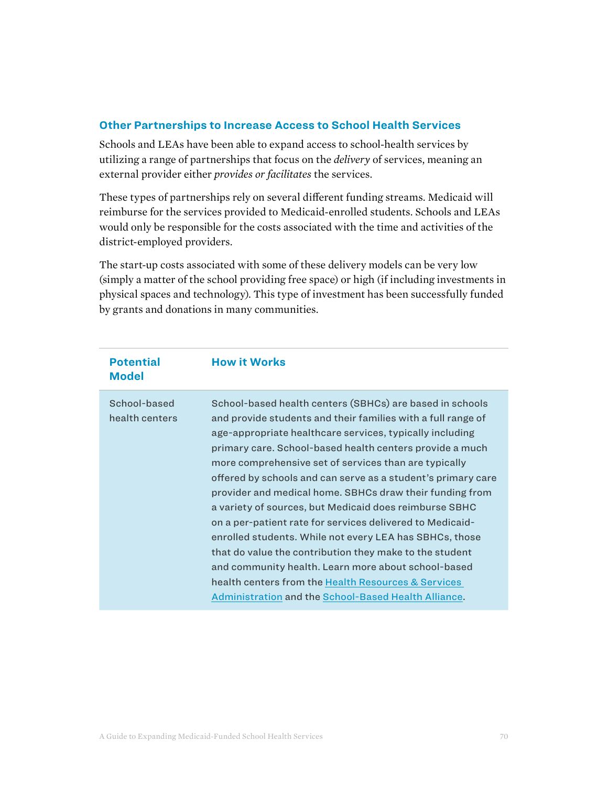#### **Other Partnerships to Increase Access to School Health Services**

Schools and LEAs have been able to expand access to school-health services by utilizing a range of partnerships that focus on the *delivery* of services, meaning an external provider either *provides or facilitates* the services.

These types of partnerships rely on several different funding streams. Medicaid will reimburse for the services provided to Medicaid-enrolled students. Schools and LEAs would only be responsible for the costs associated with the time and activities of the district-employed providers.

The start-up costs associated with some of these delivery models can be very low (simply a matter of the school providing free space) or high (if including investments in physical spaces and technology). This type of investment has been successfully funded by grants and donations in many communities.

| <b>Potential</b><br><b>Model</b> | <b>How it Works</b>                                                                                                                                                                                                                                                                                                                                                                                                                                                                                                                                                                                                                                                                                                                                                                                                                                      |
|----------------------------------|----------------------------------------------------------------------------------------------------------------------------------------------------------------------------------------------------------------------------------------------------------------------------------------------------------------------------------------------------------------------------------------------------------------------------------------------------------------------------------------------------------------------------------------------------------------------------------------------------------------------------------------------------------------------------------------------------------------------------------------------------------------------------------------------------------------------------------------------------------|
| School-based<br>health centers   | School-based health centers (SBHCs) are based in schools<br>and provide students and their families with a full range of<br>age-appropriate healthcare services, typically including<br>primary care. School-based health centers provide a much<br>more comprehensive set of services than are typically<br>offered by schools and can serve as a student's primary care<br>provider and medical home. SBHCs draw their funding from<br>a variety of sources, but Medicaid does reimburse SBHC<br>on a per-patient rate for services delivered to Medicaid-<br>enrolled students. While not every LEA has SBHCs, those<br>that do value the contribution they make to the student<br>and community health. Learn more about school-based<br>health centers from the Health Resources & Services<br>Administration and the School-Based Health Alliance. |